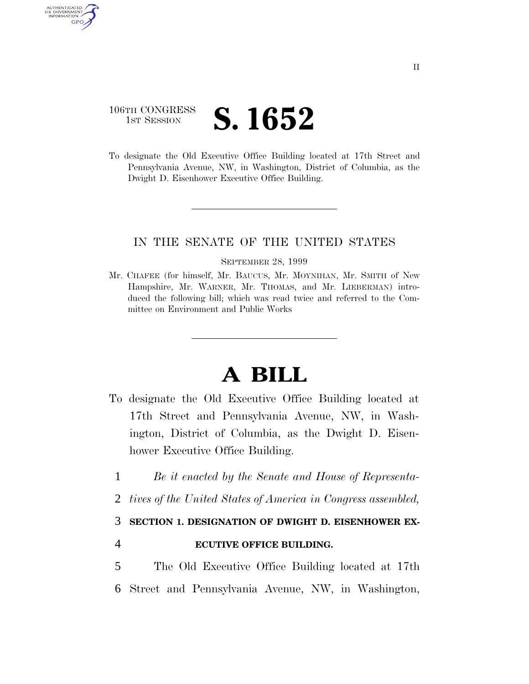# 106TH CONGRESS **1st Session S. 1652**

AUTHENTICATED U.S. GOVERNMENT GPO

> To designate the Old Executive Office Building located at 17th Street and Pennsylvania Avenue, NW, in Washington, District of Columbia, as the Dwight D. Eisenhower Executive Office Building.

### IN THE SENATE OF THE UNITED STATES

#### SEPTEMBER 28, 1999

Mr. CHAFEE (for himself, Mr. BAUCUS, Mr. MOYNIHAN, Mr. SMITH of New Hampshire, Mr. WARNER, Mr. THOMAS, and Mr. LIEBERMAN) introduced the following bill; which was read twice and referred to the Committee on Environment and Public Works

# **A BILL**

- To designate the Old Executive Office Building located at 17th Street and Pennsylvania Avenue, NW, in Washington, District of Columbia, as the Dwight D. Eisenhower Executive Office Building.
	- 1 *Be it enacted by the Senate and House of Representa-*
	- 2 *tives of the United States of America in Congress assembled,*

## 3 **SECTION 1. DESIGNATION OF DWIGHT D. EISENHOWER EX-**

- 4 **ECUTIVE OFFICE BUILDING.**
- 5 The Old Executive Office Building located at 17th 6 Street and Pennsylvania Avenue, NW, in Washington,